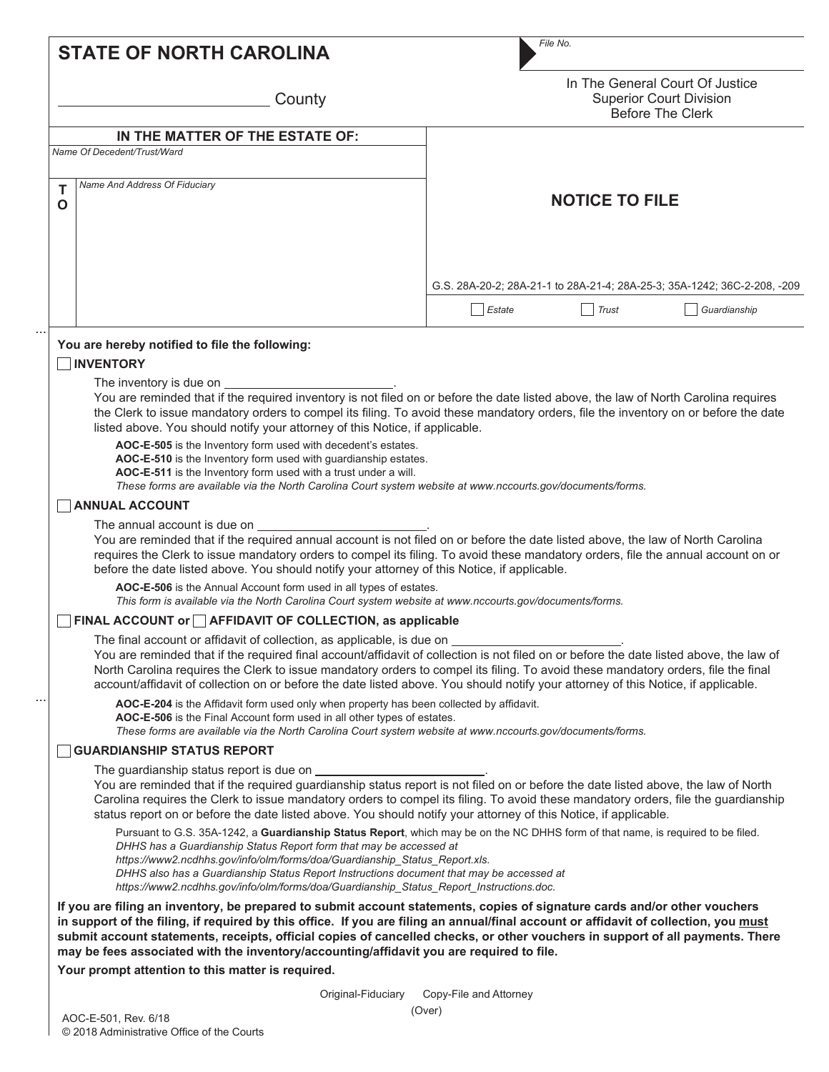|                  | <b>STATE OF NORTH CAROLINA</b>                                                                                                                                                                                                                                                                                                                                                                                                                                                                                                                                                                                                                                                                                                                                                                                                                                                                                                                                                                                                                                                                                                                                                                                                                                                                                                                                                                                                                                                                                                                                                                                                                            | File No.                                                                                                                                                                                                                                                                                                                                                                                                                                                                                                                                                                                                                                                                                      |
|------------------|-----------------------------------------------------------------------------------------------------------------------------------------------------------------------------------------------------------------------------------------------------------------------------------------------------------------------------------------------------------------------------------------------------------------------------------------------------------------------------------------------------------------------------------------------------------------------------------------------------------------------------------------------------------------------------------------------------------------------------------------------------------------------------------------------------------------------------------------------------------------------------------------------------------------------------------------------------------------------------------------------------------------------------------------------------------------------------------------------------------------------------------------------------------------------------------------------------------------------------------------------------------------------------------------------------------------------------------------------------------------------------------------------------------------------------------------------------------------------------------------------------------------------------------------------------------------------------------------------------------------------------------------------------------|-----------------------------------------------------------------------------------------------------------------------------------------------------------------------------------------------------------------------------------------------------------------------------------------------------------------------------------------------------------------------------------------------------------------------------------------------------------------------------------------------------------------------------------------------------------------------------------------------------------------------------------------------------------------------------------------------|
|                  | County                                                                                                                                                                                                                                                                                                                                                                                                                                                                                                                                                                                                                                                                                                                                                                                                                                                                                                                                                                                                                                                                                                                                                                                                                                                                                                                                                                                                                                                                                                                                                                                                                                                    | In The General Court Of Justice<br><b>Superior Court Division</b><br><b>Before The Clerk</b>                                                                                                                                                                                                                                                                                                                                                                                                                                                                                                                                                                                                  |
|                  | IN THE MATTER OF THE ESTATE OF:                                                                                                                                                                                                                                                                                                                                                                                                                                                                                                                                                                                                                                                                                                                                                                                                                                                                                                                                                                                                                                                                                                                                                                                                                                                                                                                                                                                                                                                                                                                                                                                                                           |                                                                                                                                                                                                                                                                                                                                                                                                                                                                                                                                                                                                                                                                                               |
|                  | Name Of Decedent/Trust/Ward                                                                                                                                                                                                                                                                                                                                                                                                                                                                                                                                                                                                                                                                                                                                                                                                                                                                                                                                                                                                                                                                                                                                                                                                                                                                                                                                                                                                                                                                                                                                                                                                                               |                                                                                                                                                                                                                                                                                                                                                                                                                                                                                                                                                                                                                                                                                               |
| Т<br>$\mathbf O$ | Name And Address Of Fiduciary                                                                                                                                                                                                                                                                                                                                                                                                                                                                                                                                                                                                                                                                                                                                                                                                                                                                                                                                                                                                                                                                                                                                                                                                                                                                                                                                                                                                                                                                                                                                                                                                                             | <b>NOTICE TO FILE</b>                                                                                                                                                                                                                                                                                                                                                                                                                                                                                                                                                                                                                                                                         |
|                  |                                                                                                                                                                                                                                                                                                                                                                                                                                                                                                                                                                                                                                                                                                                                                                                                                                                                                                                                                                                                                                                                                                                                                                                                                                                                                                                                                                                                                                                                                                                                                                                                                                                           | G.S. 28A-20-2; 28A-21-1 to 28A-21-4; 28A-25-3; 35A-1242; 36C-2-208, -209                                                                                                                                                                                                                                                                                                                                                                                                                                                                                                                                                                                                                      |
|                  |                                                                                                                                                                                                                                                                                                                                                                                                                                                                                                                                                                                                                                                                                                                                                                                                                                                                                                                                                                                                                                                                                                                                                                                                                                                                                                                                                                                                                                                                                                                                                                                                                                                           | Estate<br>Guardianship<br>Trust                                                                                                                                                                                                                                                                                                                                                                                                                                                                                                                                                                                                                                                               |
|                  | <b>INVENTORY</b><br>The inventory is due on __________<br>listed above. You should notify your attorney of this Notice, if applicable.<br>AOC-E-505 is the Inventory form used with decedent's estates.<br>AOC-E-510 is the Inventory form used with guardianship estates.<br>AOC-E-511 is the Inventory form used with a trust under a will.<br>These forms are available via the North Carolina Court system website at www.nccourts.gov/documents/forms.<br><b>ANNUAL ACCOUNT</b><br>The annual account is due on<br>before the date listed above. You should notify your attorney of this Notice, if applicable.<br>AOC-E-506 is the Annual Account form used in all types of estates.<br>This form is available via the North Carolina Court system website at www.nccourts.gov/documents/forms.<br>FINAL ACCOUNT or AFFIDAVIT OF COLLECTION, as applicable<br>The final account or affidavit of collection, as applicable, is due on                                                                                                                                                                                                                                                                                                                                                                                                                                                                                                                                                                                                                                                                                                                | You are reminded that if the required inventory is not filed on or before the date listed above, the law of North Carolina requires<br>the Clerk to issue mandatory orders to compel its filing. To avoid these mandatory orders, file the inventory on or before the date<br>You are reminded that if the required annual account is not filed on or before the date listed above, the law of North Carolina<br>requires the Clerk to issue mandatory orders to compel its filing. To avoid these mandatory orders, file the annual account on or<br>You are reminded that if the required final account/affidavit of collection is not filed on or before the date listed above, the law of |
|                  | North Carolina requires the Clerk to issue mandatory orders to compel its filing. To avoid these mandatory orders, file the final<br>account/affidavit of collection on or before the date listed above. You should notify your attorney of this Notice, if applicable.<br>AOC-E-204 is the Affidavit form used only when property has been collected by affidavit.<br>AOC-E-506 is the Final Account form used in all other types of estates.<br>These forms are available via the North Carolina Court system website at www.nccourts.gov/documents/forms.<br><b>GUARDIANSHIP STATUS REPORT</b><br>The guardianship status report is due on<br>You are reminded that if the required guardianship status report is not filed on or before the date listed above, the law of North<br>Carolina requires the Clerk to issue mandatory orders to compel its filing. To avoid these mandatory orders, file the guardianship<br>status report on or before the date listed above. You should notify your attorney of this Notice, if applicable.<br>Pursuant to G.S. 35A-1242, a Guardianship Status Report, which may be on the NC DHHS form of that name, is required to be filed.<br>DHHS has a Guardianship Status Report form that may be accessed at<br>https://www2.ncdhhs.gov/info/olm/forms/doa/Guardianship Status Report.xls.<br>DHHS also has a Guardianship Status Report Instructions document that may be accessed at<br>https://www2.ncdhhs.gov/info/olm/forms/doa/Guardianship_Status_Report_Instructions.doc.<br>If you are filing an inventory, be prepared to submit account statements, copies of signature cards and/or other vouchers |                                                                                                                                                                                                                                                                                                                                                                                                                                                                                                                                                                                                                                                                                               |
|                  |                                                                                                                                                                                                                                                                                                                                                                                                                                                                                                                                                                                                                                                                                                                                                                                                                                                                                                                                                                                                                                                                                                                                                                                                                                                                                                                                                                                                                                                                                                                                                                                                                                                           |                                                                                                                                                                                                                                                                                                                                                                                                                                                                                                                                                                                                                                                                                               |
|                  | may be fees associated with the inventory/accounting/affidavit you are required to file.<br>Your prompt attention to this matter is required.                                                                                                                                                                                                                                                                                                                                                                                                                                                                                                                                                                                                                                                                                                                                                                                                                                                                                                                                                                                                                                                                                                                                                                                                                                                                                                                                                                                                                                                                                                             | in support of the filing, if required by this office. If you are filing an annual/final account or affidavit of collection, you must<br>submit account statements, receipts, official copies of cancelled checks, or other vouchers in support of all payments. There                                                                                                                                                                                                                                                                                                                                                                                                                         |
|                  |                                                                                                                                                                                                                                                                                                                                                                                                                                                                                                                                                                                                                                                                                                                                                                                                                                                                                                                                                                                                                                                                                                                                                                                                                                                                                                                                                                                                                                                                                                                                                                                                                                                           |                                                                                                                                                                                                                                                                                                                                                                                                                                                                                                                                                                                                                                                                                               |